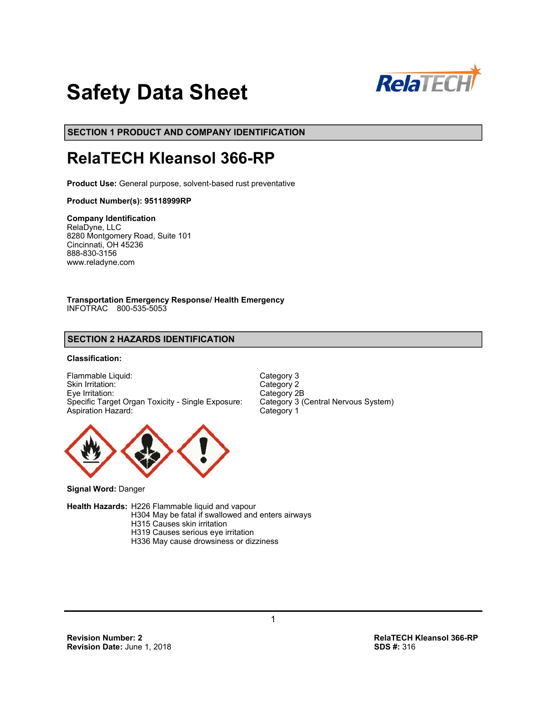

# **Safety Data Sheet**

**SECTION 1 PRODUCT AND COMPANY IDENTIFICATION**

# **RelaTECH Kleansol 366-RP**

**Product Use:** General purpose, solvent-based rust preventative

#### **Product Number(s): 95118999RP**

#### **Company Identification**

RelaDyne, LLC 8280 Montgomery Road, Suite 101 Cincinnati, OH 45236 888-830-3156 www.reladyne.com

**Transportation Emergency Response/ Health Emergency**  INFOTRAC 800-535-5053

# **SECTION 2 HAZARDS IDENTIFICATION**

#### **Classification:**

Flammable Liquid: Category 3<br>
Skin Irritation: Category 2 Skin Irritation: Eye Irritation: Category 2B Specific Target Organ Toxicity - Single Exposure: Aspiration Hazard: Category 1



**Signal Word:** Danger

**Health Hazards:** H226 Flammable liquid and vapour

 H304 May be fatal if swallowed and enters airways H315 Causes skin irritation H319 Causes serious eye irritation

H336 May cause drowsiness or dizziness

1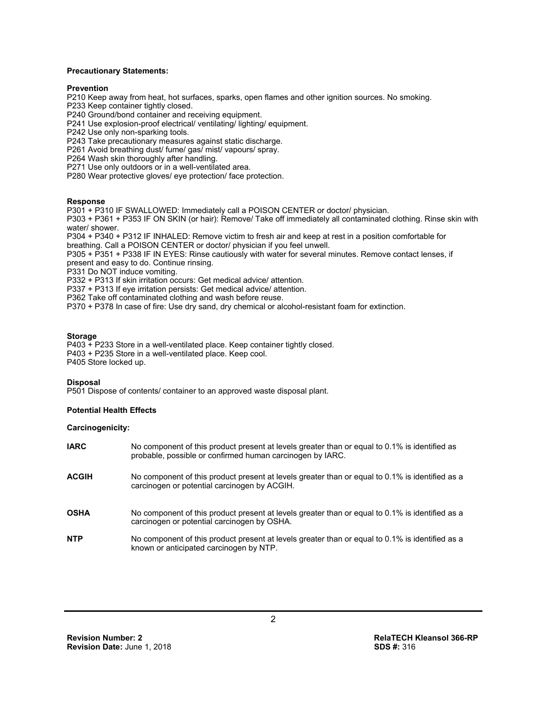#### **Precautionary Statements:**

#### **Prevention**

P210 Keep away from heat, hot surfaces, sparks, open flames and other ignition sources. No smoking.

P233 Keep container tightly closed.

P240 Ground/bond container and receiving equipment.

P241 Use explosion-proof electrical/ ventilating/ lighting/ equipment.

P242 Use only non-sparking tools.

P243 Take precautionary measures against static discharge.

P261 Avoid breathing dust/ fume/ gas/ mist/ vapours/ spray.

P264 Wash skin thoroughly after handling.

P271 Use only outdoors or in a well-ventilated area.

P280 Wear protective gloves/ eye protection/ face protection.

#### **Response**

P301 + P310 IF SWALLOWED: Immediately call a POISON CENTER or doctor/ physician.

P303 + P361 + P353 IF ON SKIN (or hair): Remove/ Take off immediately all contaminated clothing. Rinse skin with water/ shower.

P304 + P340 + P312 IF INHALED: Remove victim to fresh air and keep at rest in a position comfortable for breathing. Call a POISON CENTER or doctor/ physician if you feel unwell.

P305 + P351 + P338 IF IN EYES: Rinse cautiously with water for several minutes. Remove contact lenses, if present and easy to do. Continue rinsing.

P331 Do NOT induce vomiting.

P332 + P313 If skin irritation occurs: Get medical advice/ attention.

P337 + P313 If eye irritation persists: Get medical advice/ attention.

P362 Take off contaminated clothing and wash before reuse.

P370 + P378 In case of fire: Use dry sand, dry chemical or alcohol-resistant foam for extinction.

#### **Storage**

P403 + P233 Store in a well-ventilated place. Keep container tightly closed. P403 + P235 Store in a well-ventilated place. Keep cool. P405 Store locked up.

#### **Disposal**

P501 Dispose of contents/ container to an approved waste disposal plant.

#### **Potential Health Effects**

#### **Carcinogenicity:**

| <b>IARC</b>  | No component of this product present at levels greater than or equal to 0.1% is identified as<br>probable, possible or confirmed human carcinogen by IARC. |
|--------------|------------------------------------------------------------------------------------------------------------------------------------------------------------|
| <b>ACGIH</b> | No component of this product present at levels greater than or equal to 0.1% is identified as a<br>carcinogen or potential carcinogen by ACGIH.            |
| <b>OSHA</b>  | No component of this product present at levels greater than or equal to 0.1% is identified as a<br>carcinogen or potential carcinogen by OSHA.             |
| <b>NTP</b>   | No component of this product present at levels greater than or equal to 0.1% is identified as a<br>known or anticipated carcinogen by NTP.                 |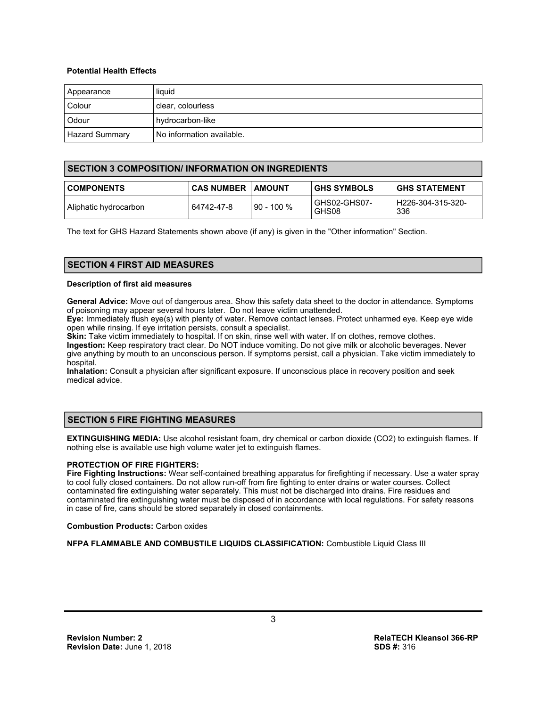#### **Potential Health Effects**

| Appearance            | liquid                    |
|-----------------------|---------------------------|
| Colour                | I clear, colourless       |
| Odour                 | hydrocarbon-like          |
| <b>Hazard Summary</b> | No information available. |

## **SECTION 3 COMPOSITION/ INFORMATION ON INGREDIENTS**

| <b>COMPONENTS</b>     | <b>CAS NUMBER   AMOUNT</b> |              | <b>GHS SYMBOLS</b>    | <b>IGHS STATEMENT</b>      |
|-----------------------|----------------------------|--------------|-----------------------|----------------------------|
| Aliphatic hydrocarbon | 64742-47-8                 | $90 - 100 %$ | GHS02-GHS07-<br>GHS08 | l H226-304-315-320-<br>336 |

The text for GHS Hazard Statements shown above (if any) is given in the "Other information" Section.

# **SECTION 4 FIRST AID MEASURES**

#### **Description of first aid measures**

**General Advice:** Move out of dangerous area. Show this safety data sheet to the doctor in attendance. Symptoms of poisoning may appear several hours later. Do not leave victim unattended.

**Eye:** Immediately flush eye(s) with plenty of water. Remove contact lenses. Protect unharmed eye. Keep eye wide open while rinsing. If eye irritation persists, consult a specialist.

**Skin:** Take victim immediately to hospital. If on skin, rinse well with water. If on clothes, remove clothes. **Ingestion:** Keep respiratory tract clear. Do NOT induce vomiting. Do not give milk or alcoholic beverages. Never give anything by mouth to an unconscious person. If symptoms persist, call a physician. Take victim immediately to hospital.

**Inhalation:** Consult a physician after significant exposure. If unconscious place in recovery position and seek medical advice.

# **SECTION 5 FIRE FIGHTING MEASURES**

**EXTINGUISHING MEDIA:** Use alcohol resistant foam, dry chemical or carbon dioxide (CO2) to extinguish flames. If nothing else is available use high volume water jet to extinguish flames.

# **PROTECTION OF FIRE FIGHTERS:**

**Fire Fighting Instructions:** Wear self-contained breathing apparatus for firefighting if necessary. Use a water spray to cool fully closed containers. Do not allow run-off from fire fighting to enter drains or water courses. Collect contaminated fire extinguishing water separately. This must not be discharged into drains. Fire residues and contaminated fire extinguishing water must be disposed of in accordance with local regulations. For safety reasons in case of fire, cans should be stored separately in closed containments.

**Combustion Products:** Carbon oxides

**NFPA FLAMMABLE AND COMBUSTILE LIQUIDS CLASSIFICATION:** Combustible Liquid Class III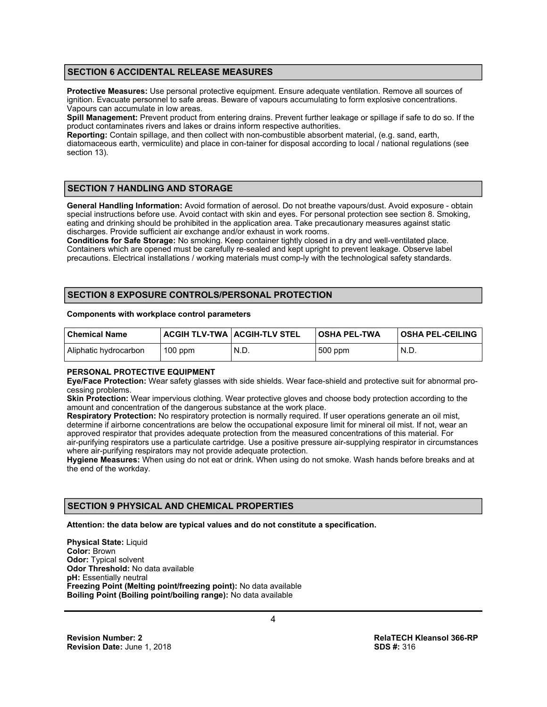# **SECTION 6 ACCIDENTAL RELEASE MEASURES**

**Protective Measures:** Use personal protective equipment. Ensure adequate ventilation. Remove all sources of ignition. Evacuate personnel to safe areas. Beware of vapours accumulating to form explosive concentrations. Vapours can accumulate in low areas.

**Spill Management:** Prevent product from entering drains. Prevent further leakage or spillage if safe to do so. If the product contaminates rivers and lakes or drains inform respective authorities.

**Reporting:** Contain spillage, and then collect with non-combustible absorbent material, (e.g. sand, earth, diatomaceous earth, vermiculite) and place in con-tainer for disposal according to local / national regulations (see section 13).

# **SECTION 7 HANDLING AND STORAGE**

**General Handling Information:** Avoid formation of aerosol. Do not breathe vapours/dust. Avoid exposure - obtain special instructions before use. Avoid contact with skin and eyes. For personal protection see section 8. Smoking, eating and drinking should be prohibited in the application area. Take precautionary measures against static discharges. Provide sufficient air exchange and/or exhaust in work rooms.

**Conditions for Safe Storage:** No smoking. Keep container tightly closed in a dry and well-ventilated place. Containers which are opened must be carefully re-sealed and kept upright to prevent leakage. Observe label precautions. Electrical installations / working materials must comp-ly with the technological safety standards.

# **SECTION 8 EXPOSURE CONTROLS/PERSONAL PROTECTION**

#### **Components with workplace control parameters**

| l Chemical Name       | <b>ACGIH TLV-TWA   ACGIH-TLV STEL</b> |      | OSHA PEL-TWA | <b>OSHA PEL-CEILING</b> |
|-----------------------|---------------------------------------|------|--------------|-------------------------|
| Aliphatic hydrocarbon | $100$ ppm                             | N.D. | 500 ppm      | N.D.                    |

#### **PERSONAL PROTECTIVE EQUIPMENT**

**Eye/Face Protection:** Wear safety glasses with side shields. Wear face-shield and protective suit for abnormal processing problems.

**Skin Protection:** Wear impervious clothing. Wear protective gloves and choose body protection according to the amount and concentration of the dangerous substance at the work place.

**Respiratory Protection:** No respiratory protection is normally required. If user operations generate an oil mist, determine if airborne concentrations are below the occupational exposure limit for mineral oil mist. If not, wear an approved respirator that provides adequate protection from the measured concentrations of this material. For air-purifying respirators use a particulate cartridge. Use a positive pressure air-supplying respirator in circumstances where air-purifying respirators may not provide adequate protection.

**Hygiene Measures:** When using do not eat or drink. When using do not smoke. Wash hands before breaks and at the end of the workday.

# **SECTION 9 PHYSICAL AND CHEMICAL PROPERTIES**

**Attention: the data below are typical values and do not constitute a specification.** 

**Physical State: Liquid Color:** Brown **Odor:** Typical solvent **Odor Threshold:** No data available **pH:** Essentially neutral **Freezing Point (Melting point/freezing point):** No data available **Boiling Point (Boiling point/boiling range):** No data available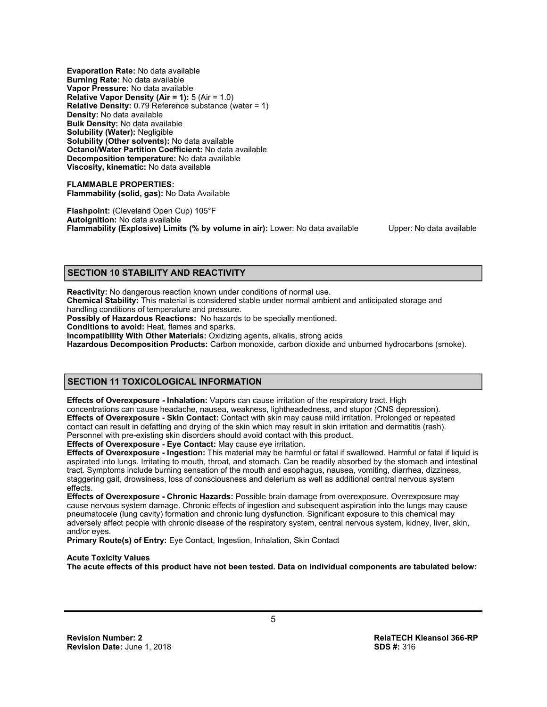**Evaporation Rate:** No data available **Burning Rate:** No data available **Vapor Pressure:** No data available **Relative Vapor Density (Air = 1):** 5 (Air = 1.0) **Relative Density:** 0.79 Reference substance (water = 1) **Density:** No data available **Bulk Density:** No data available **Solubility (Water):** Negligible **Solubility (Other solvents):** No data available **Octanol/Water Partition Coefficient:** No data available **Decomposition temperature:** No data available **Viscosity, kinematic:** No data available

**FLAMMABLE PROPERTIES: Flammability (solid, gas):** No Data Available

**Flashpoint:** (Cleveland Open Cup) 105°F **Autoignition:** No data available **Flammability (Explosive) Limits (% by volume in air):** Lower: No data available Upper: No data available

# **SECTION 10 STABILITY AND REACTIVITY**

**Reactivity:** No dangerous reaction known under conditions of normal use.

**Chemical Stability:** This material is considered stable under normal ambient and anticipated storage and handling conditions of temperature and pressure.

**Possibly of Hazardous Reactions:** No hazards to be specially mentioned.

**Conditions to avoid:** Heat, flames and sparks.

**Incompatibility With Other Materials:** Oxidizing agents, alkalis, strong acids

**Hazardous Decomposition Products:** Carbon monoxide, carbon dioxide and unburned hydrocarbons (smoke).

# **SECTION 11 TOXICOLOGICAL INFORMATION**

**Effects of Overexposure - Inhalation:** Vapors can cause irritation of the respiratory tract. High concentrations can cause headache, nausea, weakness, lightheadedness, and stupor (CNS depression). **Effects of Overexposure - Skin Contact:** Contact with skin may cause mild irritation. Prolonged or repeated contact can result in defatting and drying of the skin which may result in skin irritation and dermatitis (rash). Personnel with pre-existing skin disorders should avoid contact with this product.

**Effects of Overexposure - Eye Contact:** May cause eye irritation.

**Effects of Overexposure - Ingestion:** This material may be harmful or fatal if swallowed. Harmful or fatal if liquid is aspirated into lungs. Irritating to mouth, throat, and stomach. Can be readily absorbed by the stomach and intestinal tract. Symptoms include burning sensation of the mouth and esophagus, nausea, vomiting, diarrhea, dizziness, staggering gait, drowsiness, loss of consciousness and delerium as well as additional central nervous system effects.

**Effects of Overexposure - Chronic Hazards:** Possible brain damage from overexposure. Overexposure may cause nervous system damage. Chronic effects of ingestion and subsequent aspiration into the lungs may cause pneumatocele (lung cavity) formation and chronic lung dysfunction. Significant exposure to this chemical may adversely affect people with chronic disease of the respiratory system, central nervous system, kidney, liver, skin, and/or eyes.

**Primary Route(s) of Entry:** Eye Contact, Ingestion, Inhalation, Skin Contact

#### **Acute Toxicity Values**

**The acute effects of this product have not been tested. Data on individual components are tabulated below:**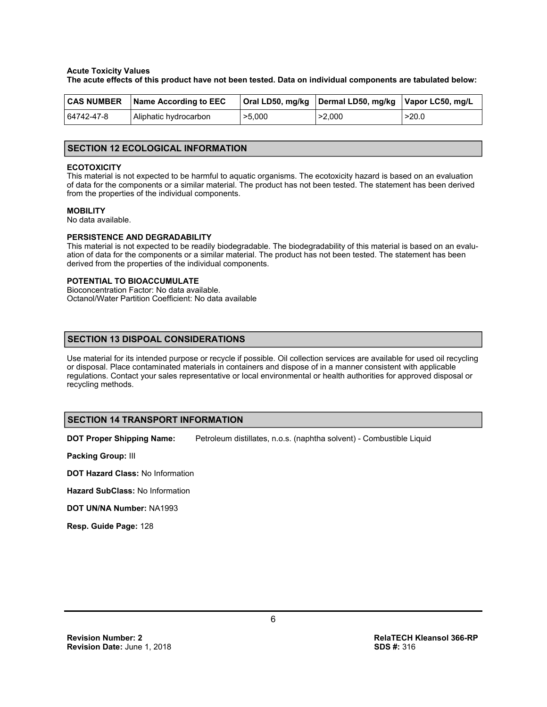#### **Acute Toxicity Values**

**The acute effects of this product have not been tested. Data on individual components are tabulated below:**

|            | <b>CAS NUMBER</b> Name According to EEC |        | Oral LD50, mg/kg   Dermal LD50, mg/kg   Vapor LC50, mg/L |       |
|------------|-----------------------------------------|--------|----------------------------------------------------------|-------|
| 64742-47-8 | Aliphatic hydrocarbon                   | >5,000 | >2.000                                                   | >20.0 |

#### **SECTION 12 ECOLOGICAL INFORMATION**

#### **ECOTOXICITY**

This material is not expected to be harmful to aquatic organisms. The ecotoxicity hazard is based on an evaluation of data for the components or a similar material. The product has not been tested. The statement has been derived from the properties of the individual components.

#### **MOBILITY**

No data available.

#### **PERSISTENCE AND DEGRADABILITY**

This material is not expected to be readily biodegradable. The biodegradability of this material is based on an evaluation of data for the components or a similar material. The product has not been tested. The statement has been derived from the properties of the individual components.

#### **POTENTIAL TO BIOACCUMULATE**

Bioconcentration Factor: No data available. Octanol/Water Partition Coefficient: No data available

# **SECTION 13 DISPOAL CONSIDERATIONS**

Use material for its intended purpose or recycle if possible. Oil collection services are available for used oil recycling or disposal. Place contaminated materials in containers and dispose of in a manner consistent with applicable regulations. Contact your sales representative or local environmental or health authorities for approved disposal or recycling methods.

#### **SECTION 14 TRANSPORT INFORMATION**

**DOT Proper Shipping Name:** Petroleum distillates, n.o.s. (naphtha solvent) - Combustible Liquid

**Packing Group:** III

**DOT Hazard Class:** No Information

**Hazard SubClass:** No Information

**DOT UN/NA Number:** NA1993

**Resp. Guide Page:** 128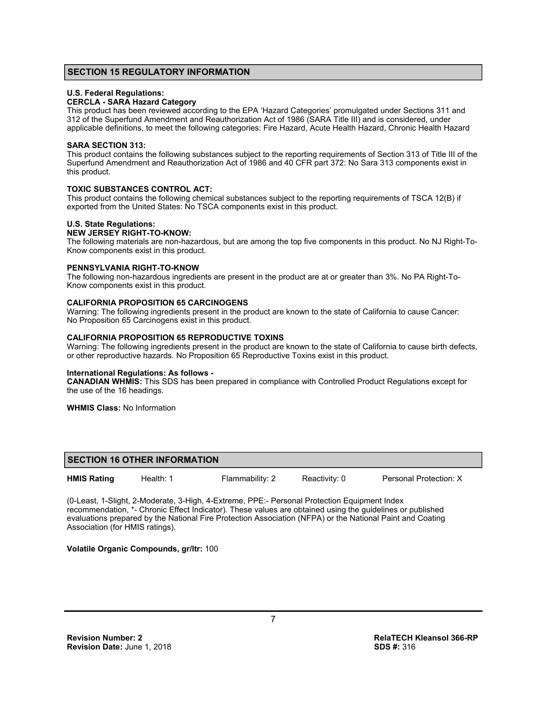## **SECTION 15 REGULATORY INFORMATION**

#### **U.S. Federal Regulations:**

#### **CERCLA - SARA Hazard Category**

This product has been reviewed according to the EPA 'Hazard Categories' promulgated under Sections 311 and 312 of the Superfund Amendment and Reauthorization Act of 1986 (SARA Title III) and is considered, under applicable definitions, to meet the following categories: Fire Hazard, Acute Health Hazard, Chronic Health Hazard

#### **SARA SECTION 313:**

This product contains the following substances subject to the reporting requirements of Section 313 of Title III of the Superfund Amendment and Reauthorization Act of 1986 and 40 CFR part 372: No Sara 313 components exist in this product.

#### **TOXIC SUBSTANCES CONTROL ACT:**

This product contains the following chemical substances subject to the reporting requirements of TSCA 12(B) if exported from the United States: No TSCA components exist in this product.

#### **U.S. State Regulations:**

#### **NEW JERSEY RIGHT-TO-KNOW:**

The following materials are non-hazardous, but are among the top five components in this product. No NJ Right-To-Know components exist in this product.

#### **PENNSYLVANIA RIGHT-TO-KNOW**

The following non-hazardous ingredients are present in the product are at or greater than 3%. No PA Right-To-Know components exist in this product.

#### **CALIFORNIA PROPOSITION 65 CARCINOGENS**

Warning: The following ingredients present in the product are known to the state of California to cause Cancer: No Proposition 65 Carcinogens exist in this product.

#### **CALIFORNIA PROPOSITION 65 REPRODUCTIVE TOXINS**

Warning: The following ingredients present in the product are known to the state of California to cause birth defects, or other reproductive hazards. No Proposition 65 Reproductive Toxins exist in this product.

#### **International Regulations: As follows -**

**CANADIAN WHMIS:** This SDS has been prepared in compliance with Controlled Product Regulations except for the use of the 16 headings.

**WHMIS Class:** No Information

# **SECTION 16 OTHER INFORMATION**

**HMIS Rating** Health: 1 Flammability: 2 Reactivity: 0 Personal Protection: X

(0-Least, 1-Slight, 2-Moderate, 3-High, 4-Extreme, PPE:- Personal Protection Equipment Index recommendation, \*- Chronic Effect Indicator). These values are obtained using the guidelines or published evaluations prepared by the National Fire Protection Association (NFPA) or the National Paint and Coating Association (for HMIS ratings).

# **Volatile Organic Compounds, gr/ltr:** 100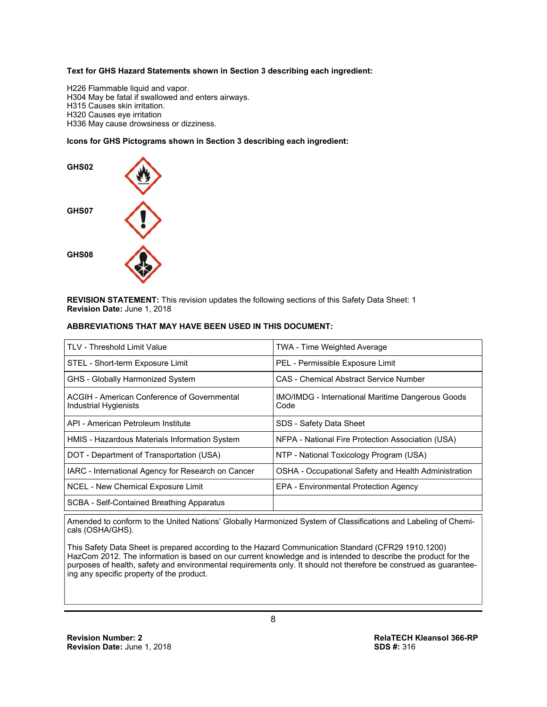#### **Text for GHS Hazard Statements shown in Section 3 describing each ingredient:**

H226 Flammable liquid and vapor. H304 May be fatal if swallowed and enters airways. H315 Causes skin irritation. H320 Causes eye irritation H336 May cause drowsiness or dizziness.

# **Icons for GHS Pictograms shown in Section 3 describing each ingredient:**



**REVISION STATEMENT:** This revision updates the following sections of this Safety Data Sheet: 1 **Revision Date:** June 1, 2018

#### **ABBREVIATIONS THAT MAY HAVE BEEN USED IN THIS DOCUMENT:**

| <b>TLV - Threshold Limit Value</b>                                   | <b>TWA - Time Weighted Average</b>                               |
|----------------------------------------------------------------------|------------------------------------------------------------------|
| STEL - Short-term Exposure Limit                                     | PEL - Permissible Exposure Limit                                 |
| GHS - Globally Harmonized System                                     | CAS - Chemical Abstract Service Number                           |
| ACGIH - American Conference of Governmental<br>Industrial Hygienists | <b>IMO/IMDG</b> - International Maritime Dangerous Goods<br>Code |
| API - American Petroleum Institute                                   | SDS - Safety Data Sheet                                          |
| HMIS - Hazardous Materials Information System                        | NFPA - National Fire Protection Association (USA)                |
| DOT - Department of Transportation (USA)                             | NTP - National Toxicology Program (USA)                          |
| IARC - International Agency for Research on Cancer                   | OSHA - Occupational Safety and Health Administration             |
| NCEL - New Chemical Exposure Limit                                   | <b>EPA - Environmental Protection Agency</b>                     |
| SCBA - Self-Contained Breathing Apparatus                            |                                                                  |

Amended to conform to the United Nations' Globally Harmonized System of Classifications and Labeling of Chemicals (OSHA/GHS).

This Safety Data Sheet is prepared according to the Hazard Communication Standard (CFR29 1910.1200) HazCom 2012. The information is based on our current knowledge and is intended to describe the product for the purposes of health, safety and environmental requirements only. It should not therefore be construed as guaranteeing any specific property of the product.